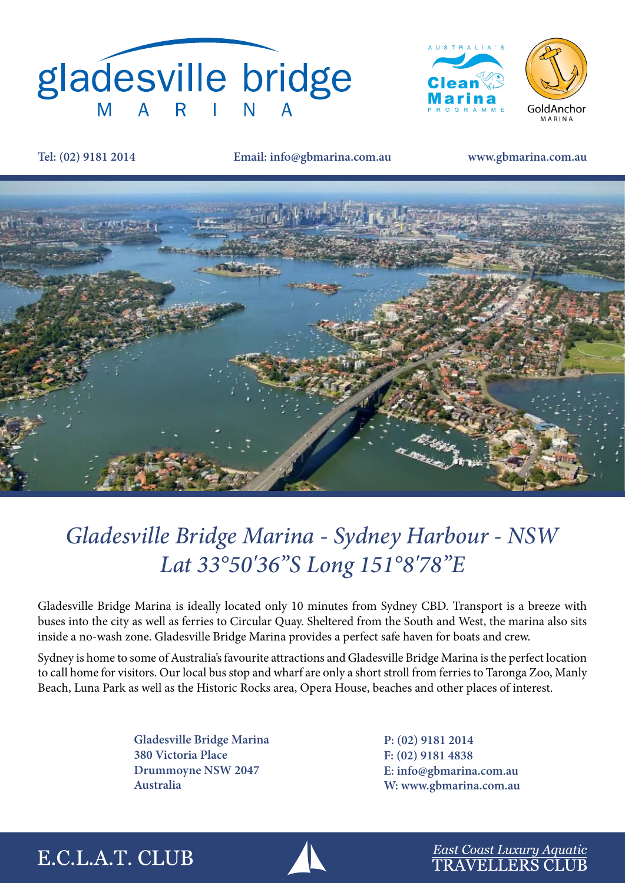



**Tel: (02) 9181 2014 Email: info@gbmarina.com.au www.gbmarina.com.au**



## *Gladesville Bridge Marina - Sydney Harbour - NSW Lat 33°50'36"S Long 151°8'78"E*

Gladesville Bridge Marina is ideally located only 10 minutes from Sydney CBD. Transport is a breeze with buses into the city as well as ferries to Circular Quay. Sheltered from the South and West, the marina also sits inside a no-wash zone. Gladesville Bridge Marina provides a perfect safe haven for boats and crew.

Sydney is home to some of Australia's favourite attractions and Gladesville Bridge Marina is the perfect location to call home for visitors. Our local bus stop and wharf are only a short stroll from ferries to Taronga Zoo, Manly Beach, Luna Park as well as the Historic Rocks area, Opera House, beaches and other places of interest.

> **Gladesville Bridge Marina 380 Victoria Place Drummoyne NSW 2047 Australia**

**P: (02) 9181 2014 F: (02) 9181 4838 E: info@gbmarina.com.au W: www.gbmarina.com.au**

## E.C.L.A.T. CLUB



East Coast Luxury Aquatic **TRAVELLERS CLUB**